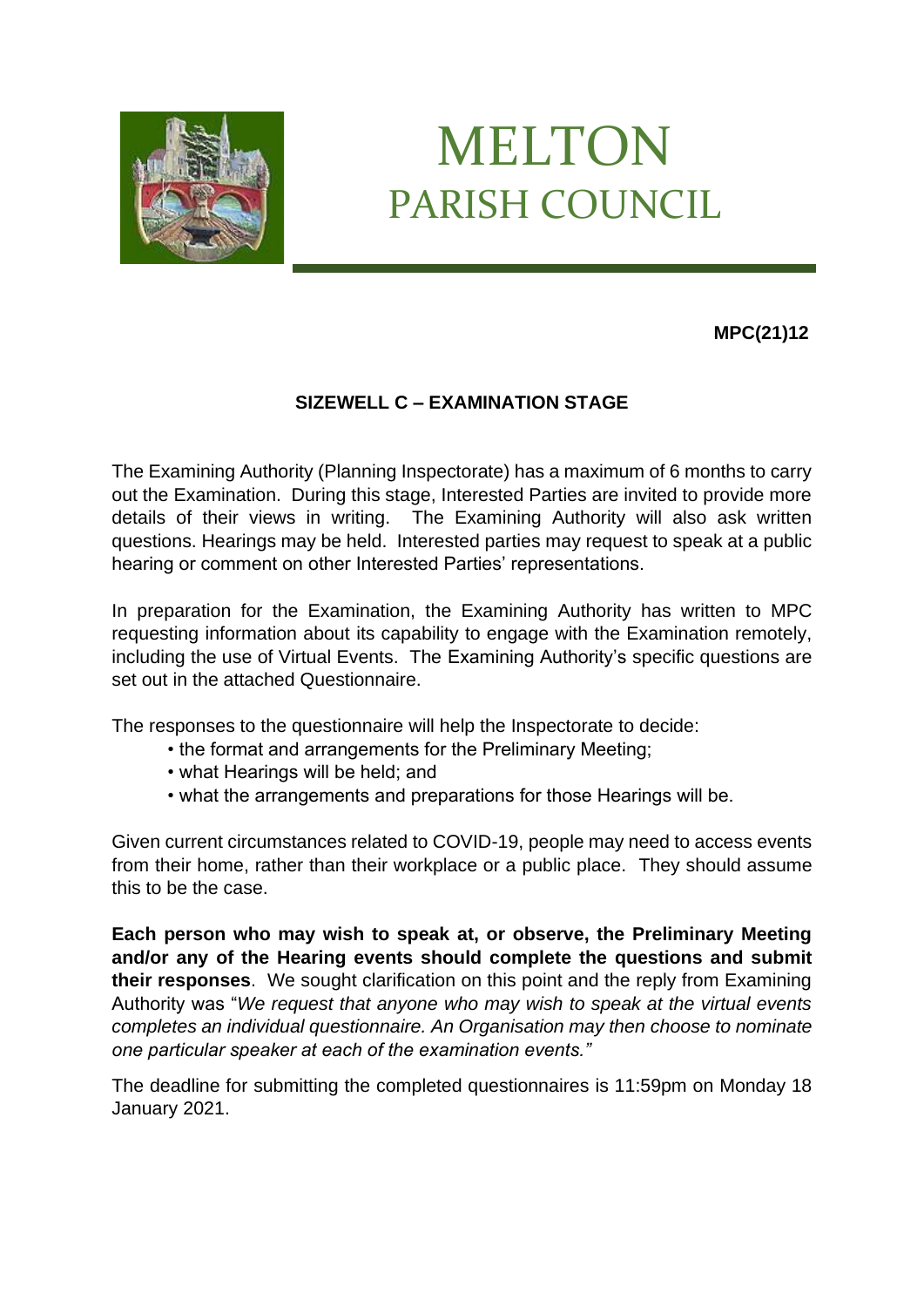

# MELTON PARISH COUNCIL

# **MPC(21)12**

# **SIZEWELL C – EXAMINATION STAGE**

The Examining Authority (Planning Inspectorate) has a maximum of 6 months to carry out the Examination. During this stage, Interested Parties are invited to provide more details of their views in writing. The Examining Authority will also ask written questions. Hearings may be held. Interested parties may request to speak at a public hearing or comment on other Interested Parties' representations.

In preparation for the Examination, the Examining Authority has written to MPC requesting information about its capability to engage with the Examination remotely, including the use of Virtual Events. The Examining Authority's specific questions are set out in the attached Questionnaire.

The responses to the questionnaire will help the Inspectorate to decide:

- the format and arrangements for the Preliminary Meeting;
- what Hearings will be held; and
- what the arrangements and preparations for those Hearings will be.

Given current circumstances related to COVID-19, people may need to access events from their home, rather than their workplace or a public place. They should assume this to be the case.

**Each person who may wish to speak at, or observe, the Preliminary Meeting and/or any of the Hearing events should complete the questions and submit their responses**. We sought clarification on this point and the reply from Examining Authority was "*We request that anyone who may wish to speak at the virtual events completes an individual questionnaire. An Organisation may then choose to nominate one particular speaker at each of the examination events."*

The deadline for submitting the completed questionnaires is 11:59pm on Monday 18 January 2021.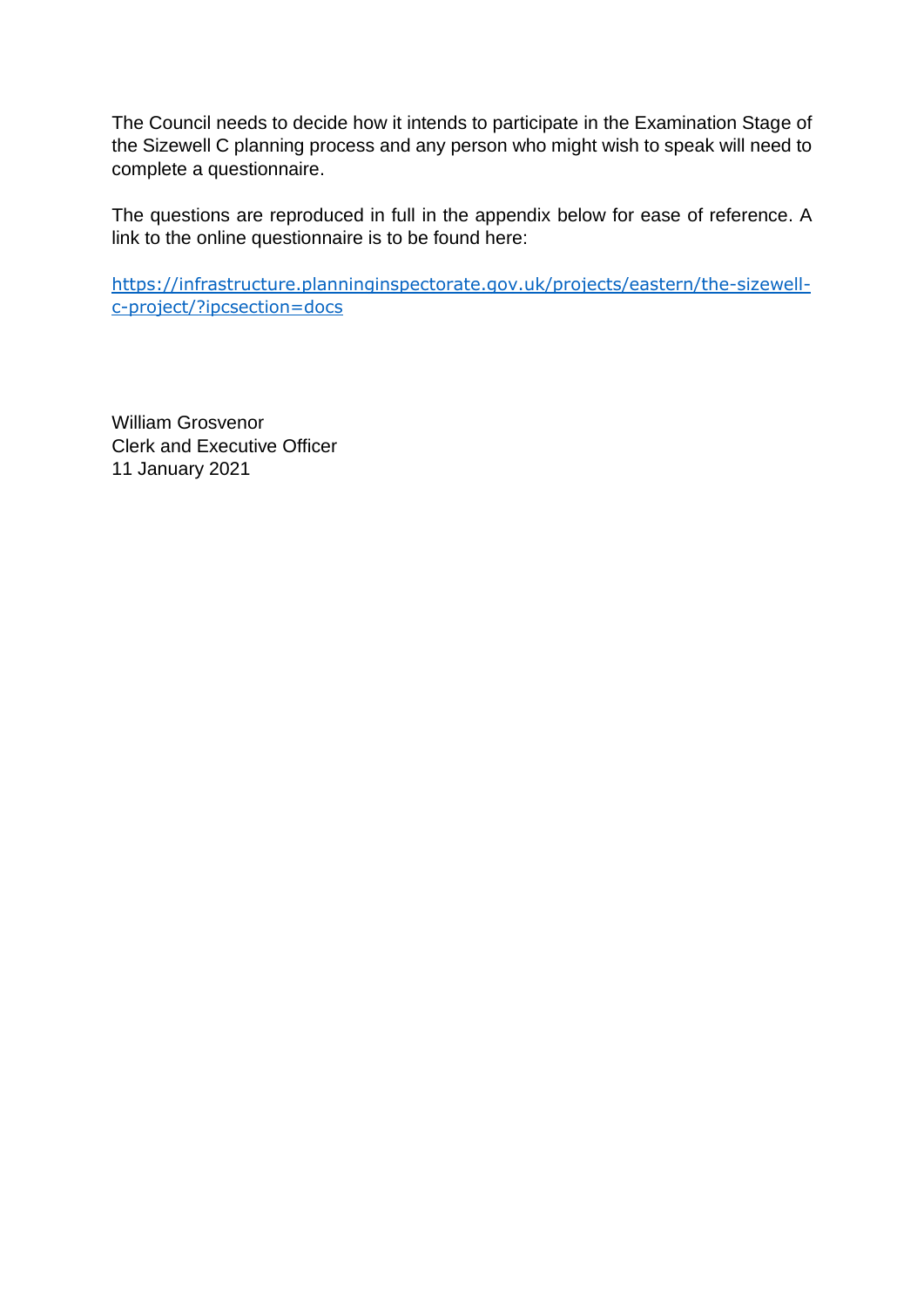The Council needs to decide how it intends to participate in the Examination Stage of the Sizewell C planning process and any person who might wish to speak will need to complete a questionnaire.

The questions are reproduced in full in the appendix below for ease of reference. A link to the online questionnaire is to be found here:

[https://infrastructure.planninginspectorate.gov.uk/projects/eastern/the-sizewell](https://infrastructure.planninginspectorate.gov.uk/projects/eastern/the-sizewell-c-project/?ipcsection=docs)[c-project/?ipcsection=docs](https://infrastructure.planninginspectorate.gov.uk/projects/eastern/the-sizewell-c-project/?ipcsection=docs)

William Grosvenor Clerk and Executive Officer 11 January 2021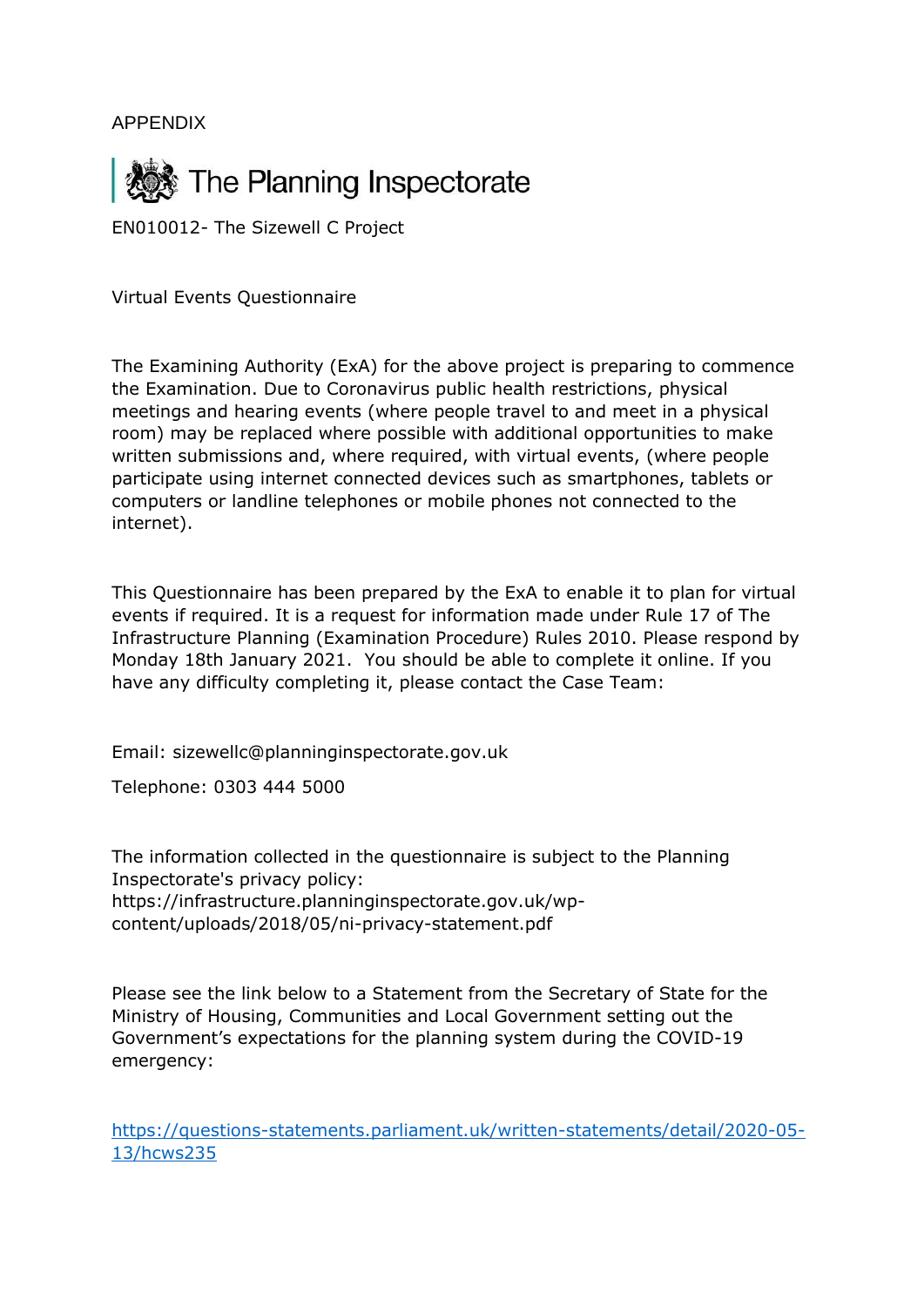APPENDIX



EN010012- The Sizewell C Project

Virtual Events Questionnaire

The Examining Authority (ExA) for the above project is preparing to commence the Examination. Due to Coronavirus public health restrictions, physical meetings and hearing events (where people travel to and meet in a physical room) may be replaced where possible with additional opportunities to make written submissions and, where required, with virtual events, (where people participate using internet connected devices such as smartphones, tablets or computers or landline telephones or mobile phones not connected to the internet).

This Questionnaire has been prepared by the ExA to enable it to plan for virtual events if required. It is a request for information made under Rule 17 of The Infrastructure Planning (Examination Procedure) Rules 2010. Please respond by Monday 18th January 2021. You should be able to complete it online. If you have any difficulty completing it, please contact the Case Team:

Email: sizewellc@planninginspectorate.gov.uk

Telephone: 0303 444 5000

The information collected in the questionnaire is subject to the Planning Inspectorate's privacy policy: https://infrastructure.planninginspectorate.gov.uk/wpcontent/uploads/2018/05/ni-privacy-statement.pdf

Please see the link below to a Statement from the Secretary of State for the Ministry of Housing, Communities and Local Government setting out the Government's expectations for the planning system during the COVID-19 emergency:

[https://questions-statements.parliament.uk/written-statements/detail/2020-05-](https://questions-statements.parliament.uk/written-statements/detail/2020-05-13/hcws235) [13/hcws235](https://questions-statements.parliament.uk/written-statements/detail/2020-05-13/hcws235)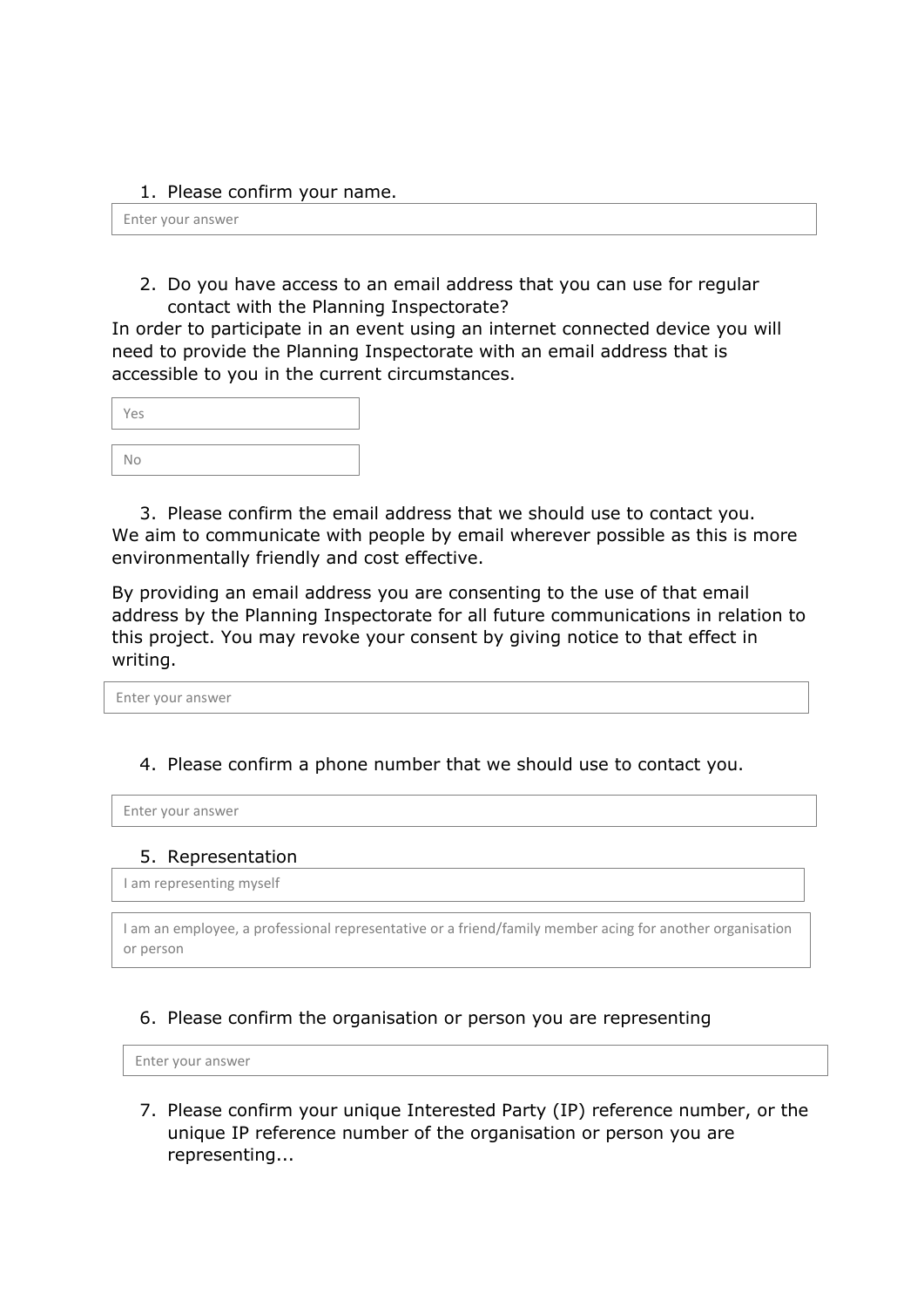#### 1. Please confirm your name.

Enter your answer

2. Do you have access to an email address that you can use for regular contact with the Planning Inspectorate?

In order to participate in an event using an internet connected device you will need to provide the Planning Inspectorate with an email address that is accessible to you in the current circumstances.

| Yes |  |  |  |
|-----|--|--|--|
|     |  |  |  |
| No  |  |  |  |

3. Please confirm the email address that we should use to contact you. We aim to communicate with people by email wherever possible as this is more environmentally friendly and cost effective.

By providing an email address you are consenting to the use of that email address by the Planning Inspectorate for all future communications in relation to this project. You may revoke your consent by giving notice to that effect in writing.

Enter your answer

## 4. Please confirm a phone number that we should use to contact you.

Enter your answer

#### 5. Representation

I am representing myself

I am an employee, a professional representative or a friend/family member acing for another organisation or person

## 6. Please confirm the organisation or person you are representing

Enter your answer

7. Please confirm your unique Interested Party (IP) reference number, or the unique IP reference number of the organisation or person you are representing...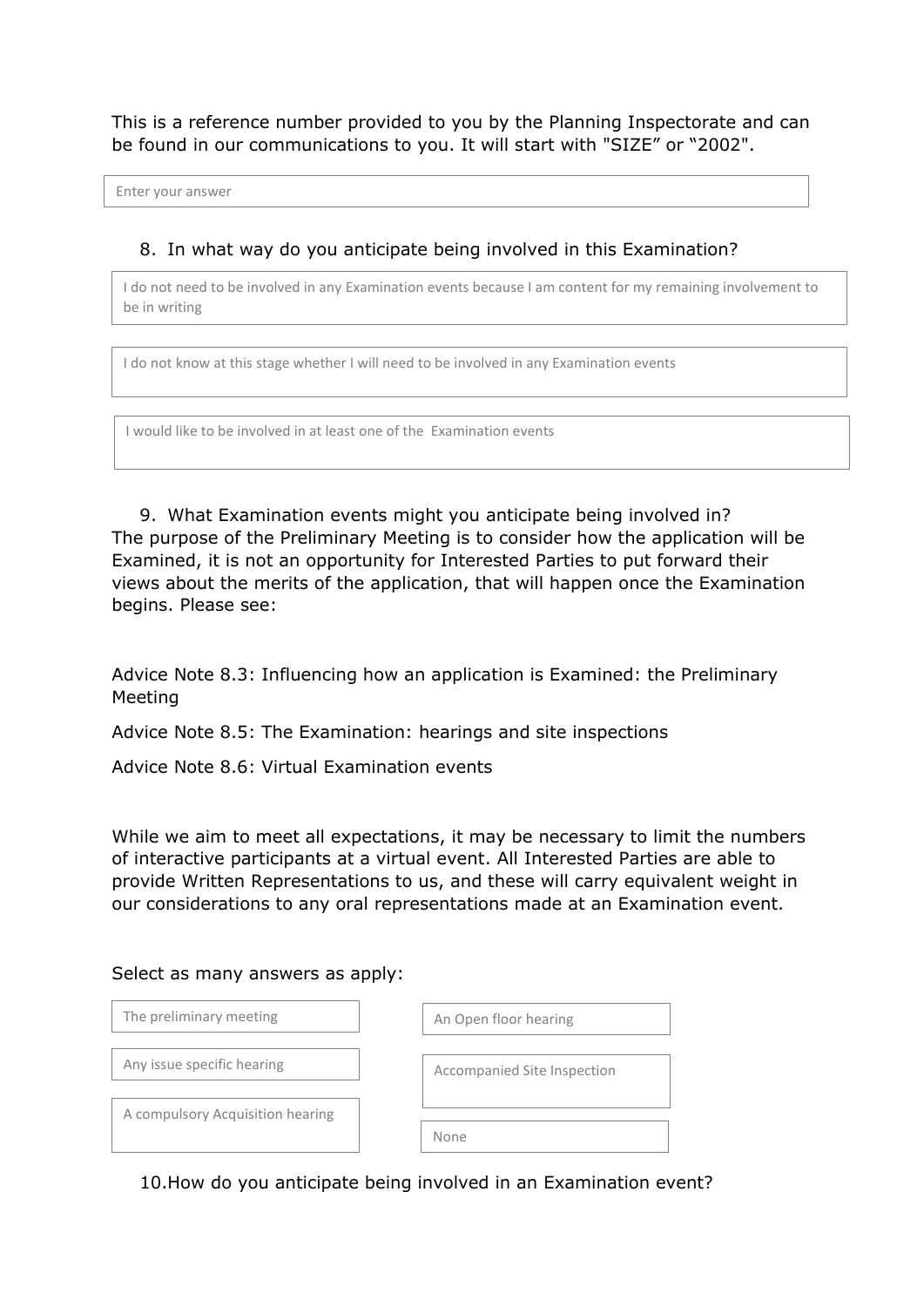This is a reference number provided to you by the Planning Inspectorate and can be found in our communications to you. It will start with "SIZE" or "2002".

Enter your answer

### 8. In what way do you anticipate being involved in this Examination?

I do not need to be involved in any Examination events because I am content for my remaining involvement to be in writing

I do not know at this stage whether I will need to be involved in any Examination events

I would like to be involved in at least one of the Examination events

9. What Examination events might you anticipate being involved in? The purpose of the Preliminary Meeting is to consider how the application will be Examined, it is not an opportunity for Interested Parties to put forward their views about the merits of the application, that will happen once the Examination begins. Please see:

Advice Note 8.3: Influencing how an application is Examined: the Preliminary Meeting

Advice Note 8.5: The Examination: hearings and site inspections

Advice Note 8.6: Virtual Examination events

While we aim to meet all expectations, it may be necessary to limit the numbers of interactive participants at a virtual event. All Interested Parties are able to provide Written Representations to us, and these will carry equivalent weight in our considerations to any oral representations made at an Examination event.

#### Select as many answers as apply:

| The preliminary meeting          | An Open floor hearing       |
|----------------------------------|-----------------------------|
| Any issue specific hearing       | Accompanied Site Inspection |
| A compulsory Acquisition hearing |                             |
|                                  | None                        |

10.How do you anticipate being involved in an Examination event?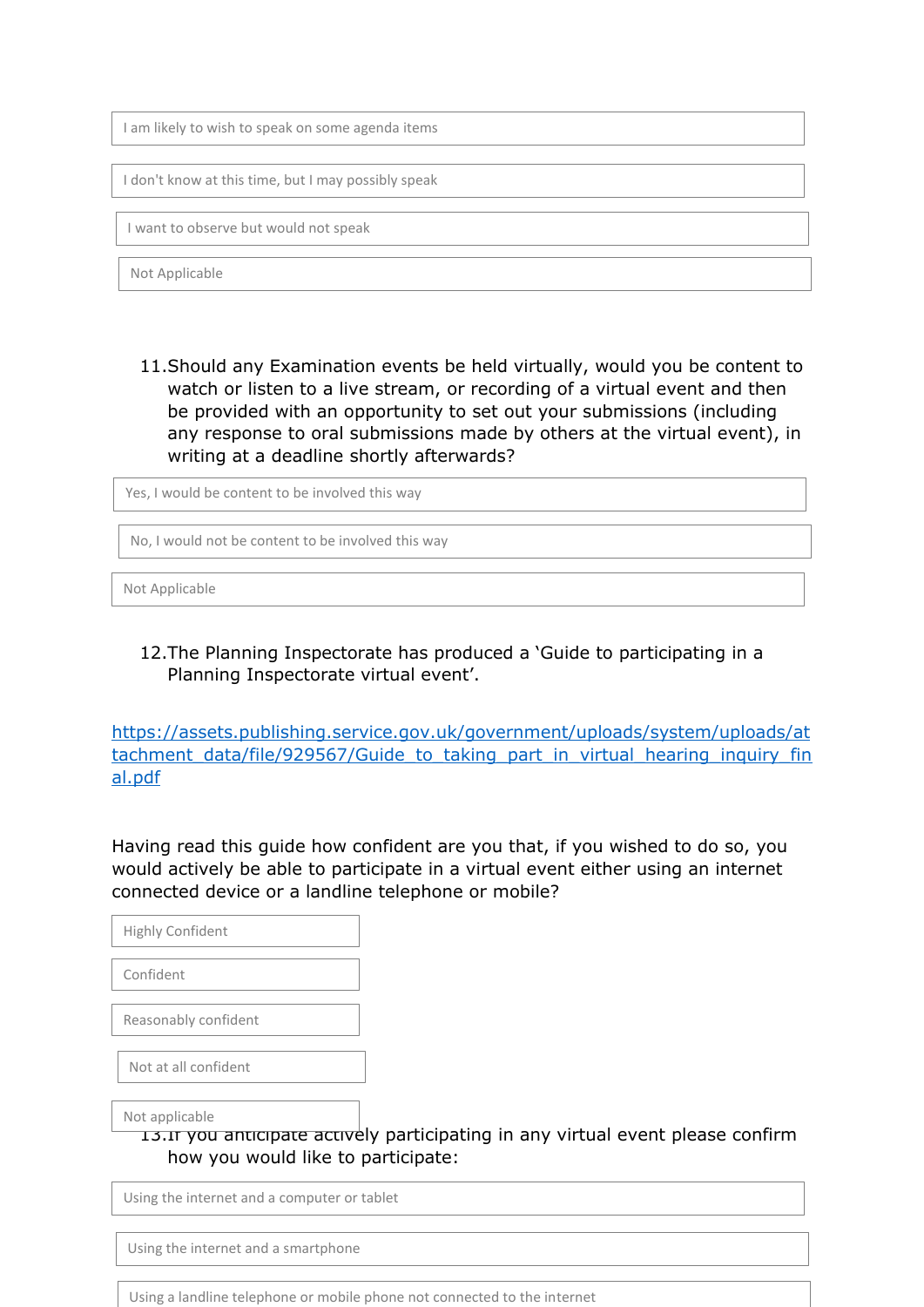I am likely to wish to speak on some agenda items

I don't know at this time, but I may possibly speak

I want to observe but would not speak

Not Applicable

11.Should any Examination events be held virtually, would you be content to watch or listen to a live stream, or recording of a virtual event and then be provided with an opportunity to set out your submissions (including any response to oral submissions made by others at the virtual event), in writing at a deadline shortly afterwards?

Yes, I would be content to be involved this way

No, I would not be content to be involved this way

Not Applicable

12.The Planning Inspectorate has produced a 'Guide to participating in a Planning Inspectorate virtual event'.

[https://assets.publishing.service.gov.uk/government/uploads/system/uploads/at](https://assets.publishing.service.gov.uk/government/uploads/system/uploads/attachment_data/file/929567/Guide_to_taking_part_in_virtual_hearing_inquiry_final.pdf) [tachment\\_data/file/929567/Guide\\_to\\_taking\\_part\\_in\\_virtual\\_hearing\\_inquiry\\_fin](https://assets.publishing.service.gov.uk/government/uploads/system/uploads/attachment_data/file/929567/Guide_to_taking_part_in_virtual_hearing_inquiry_final.pdf) [al.pdf](https://assets.publishing.service.gov.uk/government/uploads/system/uploads/attachment_data/file/929567/Guide_to_taking_part_in_virtual_hearing_inquiry_final.pdf)

Having read this guide how confident are you that, if you wished to do so, you would actively be able to participate in a virtual event either using an internet connected device or a landline telephone or mobile?

Highly Confident Confident Reasonably confident

Not at all confident

Not applicable

13.If you anticipate actively participating in any virtual event please confirm how you would like to participate:

Using the internet and a computer or tablet

Using the internet and a smartphone

Using a landline telephone or mobile phone not connected to the internet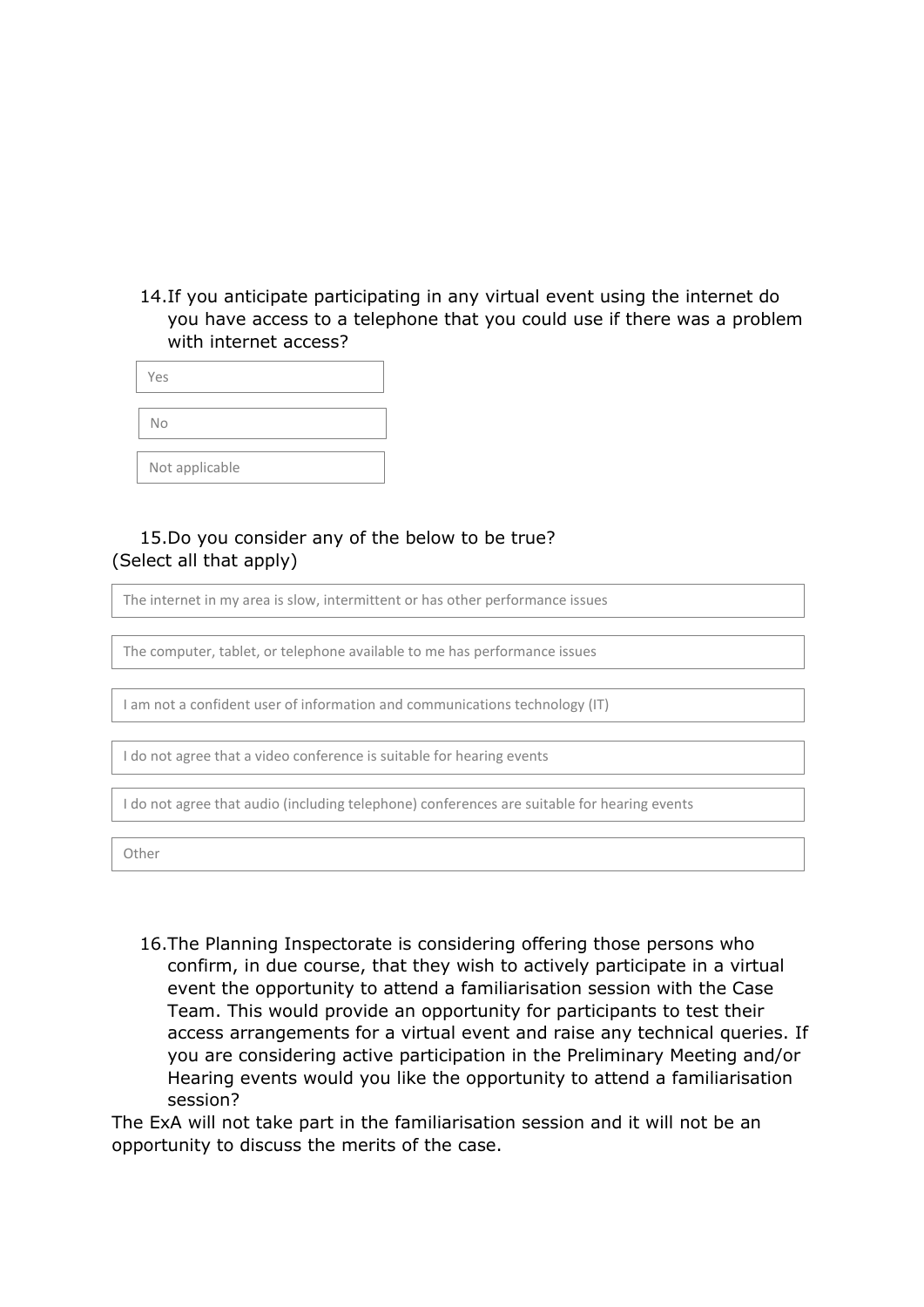14.If you anticipate participating in any virtual event using the internet do you have access to a telephone that you could use if there was a problem with internet access?

| Yes            |  |
|----------------|--|
|                |  |
| No             |  |
|                |  |
| Not applicable |  |

# 15.Do you consider any of the below to be true? (Select all that apply)

The internet in my area is slow, intermittent or has other performance issues

The computer, tablet, or telephone available to me has performance issues

I am not a confident user of information and communications technology (IT)

I do not agree that a video conference is suitable for hearing events

I do not agree that audio (including telephone) conferences are suitable for hearing events

Other

16.The Planning Inspectorate is considering offering those persons who confirm, in due course, that they wish to actively participate in a virtual event the opportunity to attend a familiarisation session with the Case Team. This would provide an opportunity for participants to test their access arrangements for a virtual event and raise any technical queries. If you are considering active participation in the Preliminary Meeting and/or Hearing events would you like the opportunity to attend a familiarisation session?

The ExA will not take part in the familiarisation session and it will not be an opportunity to discuss the merits of the case.